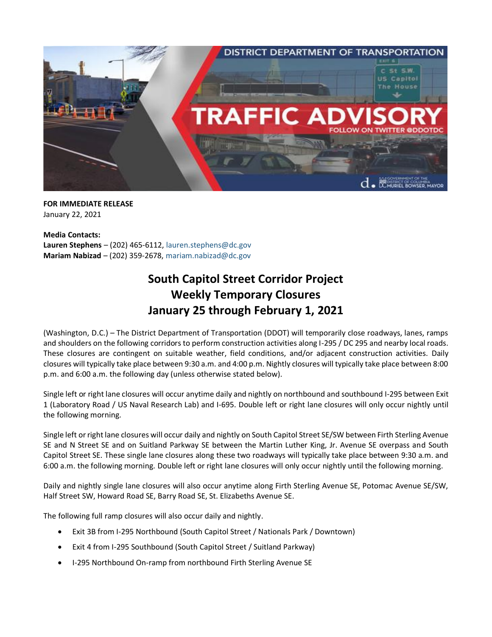

**FOR IMMEDIATE RELEASE** January 22, 2021

**Media Contacts: Lauren Stephens** – (202) 465-6112, [lauren.stephens@dc.gov](mailto:lauren.stephens@dc.gov) **Mariam Nabizad** – (202) 359-2678, [mariam.nabizad@dc.gov](mailto:mariam.nabizad@dc.gov)

## **South Capitol Street Corridor Project Weekly Temporary Closures January 25 through February 1, 2021**

(Washington, D.C.) – The District Department of Transportation (DDOT) will temporarily close roadways, lanes, ramps and shoulders on the following corridors to perform construction activities along I-295 / DC 295 and nearby local roads. These closures are contingent on suitable weather, field conditions, and/or adjacent construction activities. Daily closures will typically take place between 9:30 a.m. and 4:00 p.m. Nightly closures will typically take place between 8:00 p.m. and 6:00 a.m. the following day (unless otherwise stated below).

Single left or right lane closures will occur anytime daily and nightly on northbound and southbound I-295 between Exit 1 (Laboratory Road / US Naval Research Lab) and I-695. Double left or right lane closures will only occur nightly until the following morning.

Single left or right lane closures will occur daily and nightly on South Capitol Street SE/SW between Firth Sterling Avenue SE and N Street SE and on Suitland Parkway SE between the Martin Luther King, Jr. Avenue SE overpass and South Capitol Street SE. These single lane closures along these two roadways will typically take place between 9:30 a.m. and 6:00 a.m. the following morning. Double left or right lane closures will only occur nightly until the following morning.

Daily and nightly single lane closures will also occur anytime along Firth Sterling Avenue SE, Potomac Avenue SE/SW, Half Street SW, Howard Road SE, Barry Road SE, St. Elizabeths Avenue SE.

The following full ramp closures will also occur daily and nightly.

- Exit 3B from I-295 Northbound (South Capitol Street / Nationals Park / Downtown)
- Exit 4 from I-295 Southbound (South Capitol Street / Suitland Parkway)
- I-295 Northbound On-ramp from northbound Firth Sterling Avenue SE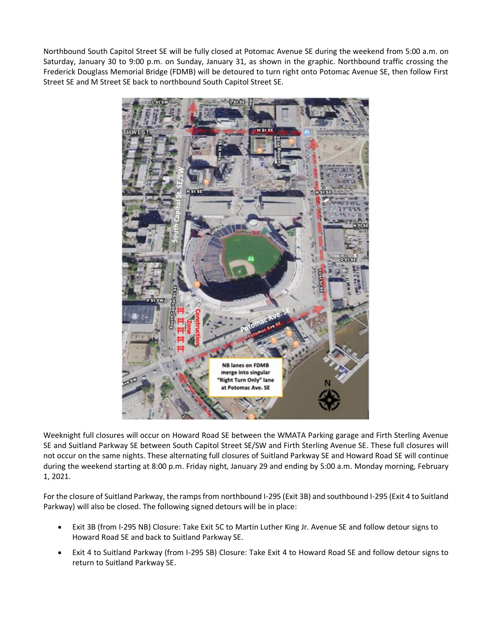Northbound South Capitol Street SE will be fully closed at Potomac Avenue SE during the weekend from 5:00 a.m. on Saturday, January 30 to 9:00 p.m. on Sunday, January 31, as shown in the graphic. Northbound traffic crossing the Frederick Douglass Memorial Bridge (FDMB) will be detoured to turn right onto Potomac Avenue SE, then follow First Street SE and M Street SE back to northbound South Capitol Street SE.



Weeknight full closures will occur on Howard Road SE between the WMATA Parking garage and Firth Sterling Avenue SE and Suitland Parkway SE between South Capitol Street SE/SW and Firth Sterling Avenue SE. These full closures will not occur on the same nights. These alternating full closures of Suitland Parkway SE and Howard Road SE will continue during the weekend starting at 8:00 p.m. Friday night, January 29 and ending by 5:00 a.m. Monday morning, February 1, 2021.

For the closure of Suitland Parkway, the ramps from northbound I-295 (Exit 3B) and southbound I-295 (Exit 4 to Suitland Parkway) will also be closed. The following signed detours will be in place:

- Exit 3B (from I-295 NB) Closure: Take Exit 5C to Martin Luther King Jr. Avenue SE and follow detour signs to Howard Road SE and back to Suitland Parkway SE.
- Exit 4 to Suitland Parkway (from I-295 SB) Closure: Take Exit 4 to Howard Road SE and follow detour signs to return to Suitland Parkway SE.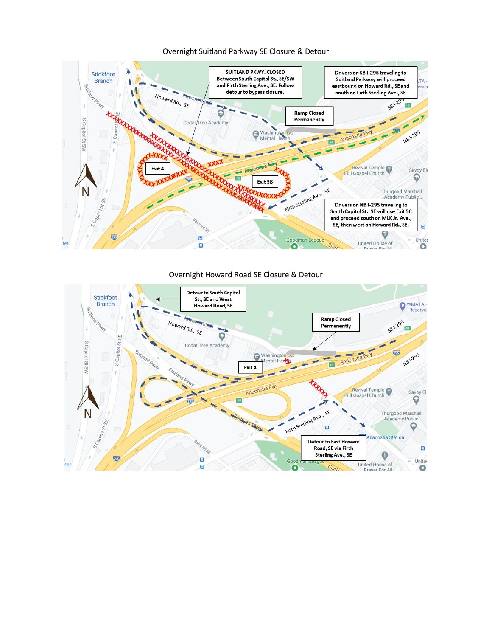

## Overnight Suitland Parkway SE Closure & Detour

## Overnight Howard Road SE Closure & Detour